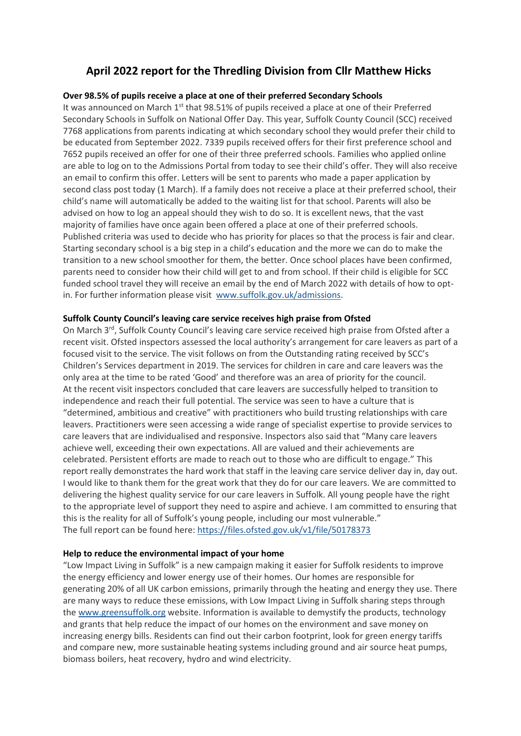# **April 2022 report for the Thredling Division from Cllr Matthew Hicks**

## **Over 98.5% of pupils receive a place at one of their preferred Secondary Schools**

It was announced on March  $1<sup>st</sup>$  that 98.51% of pupils received a place at one of their Preferred Secondary Schools in Suffolk on National Offer Day. This year, Suffolk County Council (SCC) received 7768 applications from parents indicating at which secondary school they would prefer their child to be educated from September 2022. 7339 pupils received offers for their first preference school and 7652 pupils received an offer for one of their three preferred schools. Families who applied online are able to log on to the Admissions Portal from today to see their child's offer. They will also receive an email to confirm this offer. Letters will be sent to parents who made a paper application by second class post today (1 March). If a family does not receive a place at their preferred school, their child's name will automatically be added to the waiting list for that school. Parents will also be advised on how to log an appeal should they wish to do so. It is excellent news, that the vast majority of families have once again been offered a place at one of their preferred schools. Published criteria was used to decide who has priority for places so that the process is fair and clear. Starting secondary school is a big step in a child's education and the more we can do to make the transition to a new school smoother for them, the better. Once school places have been confirmed, parents need to consider how their child will get to and from school. If their child is eligible for SCC funded school travel they will receive an email by the end of March 2022 with details of how to optin. For further information please visit [www.suffolk.gov.uk/admissions.](https://www.suffolk.gov.uk/children-families-and-learning/schools/school-places/)

### **Suffolk County Council's leaving care service receives high praise from Ofsted**

On March 3<sup>rd</sup>, Suffolk County Council's leaving care service received high praise from Ofsted after a recent visit. Ofsted inspectors assessed the local authority's arrangement for care leavers as part of a focused visit to the service. The visit follows on from the Outstanding rating received by SCC's Children's Services department in 2019. The services for children in care and care leavers was the only area at the time to be rated 'Good' and therefore was an area of priority for the council. At the recent visit inspectors concluded that care leavers are successfully helped to transition to independence and reach their full potential. The service was seen to have a culture that is "determined, ambitious and creative" with practitioners who build trusting relationships with care leavers. Practitioners were seen accessing a wide range of specialist expertise to provide services to care leavers that are individualised and responsive. Inspectors also said that "Many care leavers achieve well, exceeding their own expectations. All are valued and their achievements are celebrated. Persistent efforts are made to reach out to those who are difficult to engage." This report really demonstrates the hard work that staff in the leaving care service deliver day in, day out. I would like to thank them for the great work that they do for our care leavers. We are committed to delivering the highest quality service for our care leavers in Suffolk. All young people have the right to the appropriate level of support they need to aspire and achieve. I am committed to ensuring that this is the reality for all of Suffolk's young people, including our most vulnerable." The full report can be found here: <https://files.ofsted.gov.uk/v1/file/50178373>

#### **Help to reduce the environmental impact of your home**

"Low Impact Living in Suffolk" is a new campaign making it easier for Suffolk residents to improve the energy efficiency and lower energy use of their homes. Our homes are responsible for generating 20% of all UK carbon emissions, primarily through the heating and energy they use. There are many ways to reduce these emissions, with Low Impact Living in Suffolk sharing steps through the [www.greensuffolk.org](https://www.greensuffolk.org/) website. Information is available to demystify the products, technology and grants that help reduce the impact of our homes on the environment and save money on increasing energy bills. Residents can find out their carbon footprint, look for green energy tariffs and compare new, more sustainable heating systems including ground and air source heat pumps, biomass boilers, heat recovery, hydro and wind electricity.